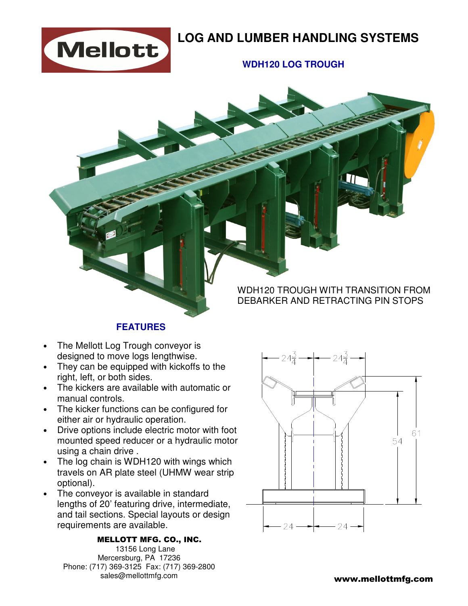

## **LOG AND LUMBER HANDLING SYSTEMS**

## **WDH120 LOG TROUGH**

## WDH120 TROUGH WITH TRANSITION FROM DEBARKER AND RETRACTING PIN STOPS

### **FEATURES**

- The Mellott Log Trough conveyor is designed to move logs lengthwise.
- They can be equipped with kickoffs to the right, left, or both sides.
- The kickers are available with automatic or manual controls.
- The kicker functions can be configured for either air or hydraulic operation.
- Drive options include electric motor with foot mounted speed reducer or a hydraulic motor using a chain drive .
- The log chain is WDH120 with wings which travels on AR plate steel (UHMW wear strip optional).
- The conveyor is available in standard lengths of 20' featuring drive, intermediate, and tail sections. Special layouts or design requirements are available.

#### MELLOTT MFG. CO., INC.

 13156 Long Lane Mercersburg, PA 17236 Phone: (717) 369-3125 Fax: (717) 369-2800 sales@mellottmfg.com